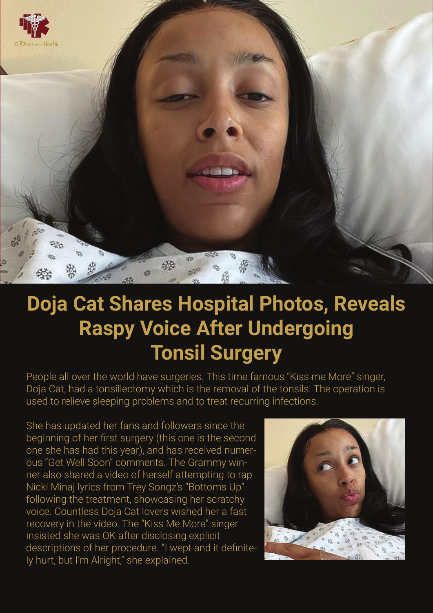

## **Doja Cat Shares Hospital Photos, Reveals Raspy Voice After Undergoing Tonsil Surgery**

People all over the world have surgeries. This time famous "Kiss me More" singer, Doja Cat, had a tonsillectomy which is the removal of the tonsils. The operation is used to relieve sleeping problems and to treat recurring infections.

She has updated her fans and followers since the beginning of her first surgery (this one is the second one she has had this year), and has received numerous "Get Well Soon" comments. The Grammy winner also shared a video of herself attempting to rap Nicki Minaj lyrics from Trey Songz's "Bottoms Up" following the treatment, showcasing her scratchy voice. Countless Doja Cat lovers wished her a fast recovery in the video. The "Kiss Me More" singer insisted she was OK after disclosing explicit descriptions of her procedure. "I wept and it definitely hurt, but I'm Alright," she explained.